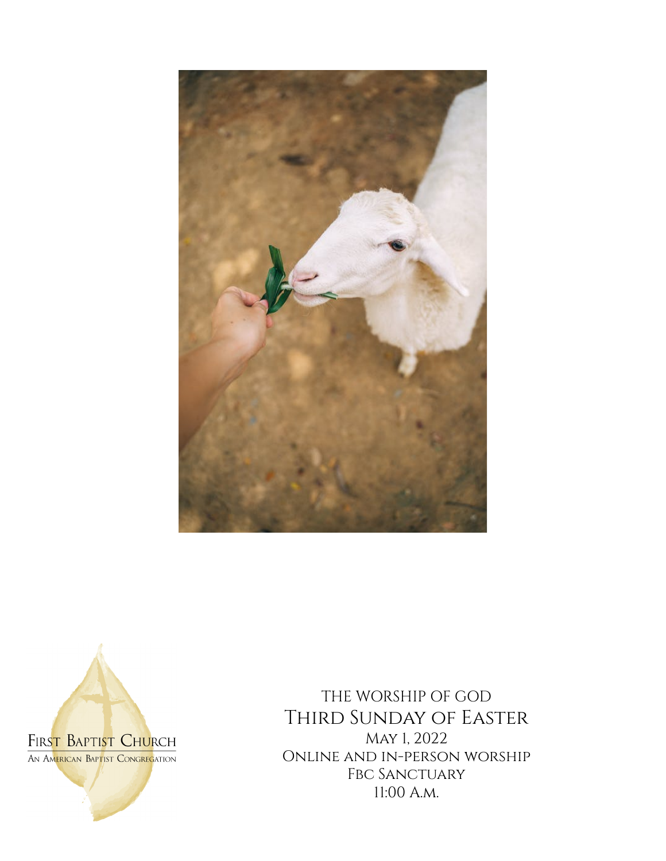



THE WORSHIP OF GOD Third Sunday of Easter May 1, 2022 Online and in-person worship FBC SANCTUARY 11:00 A.m.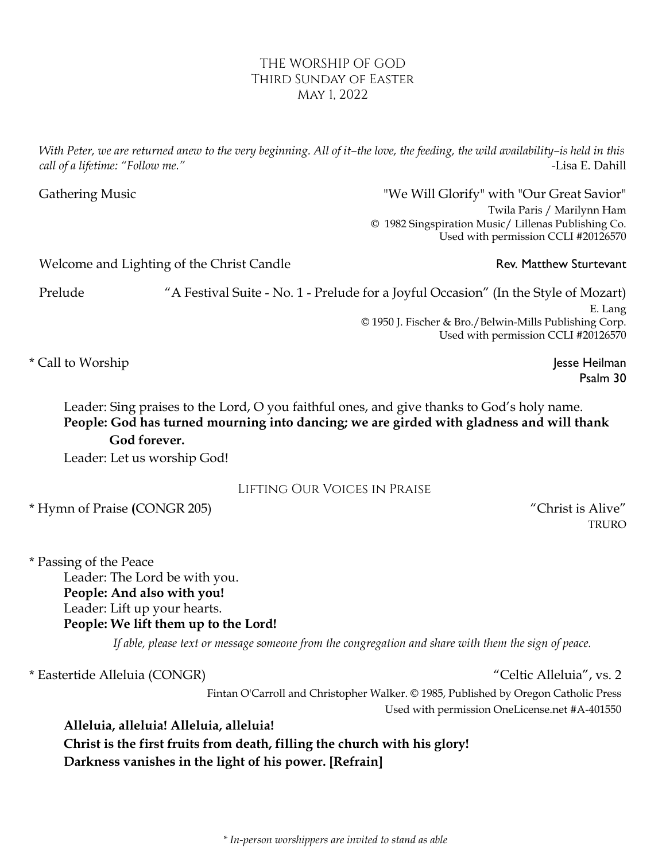## THE WORSHIP OF GOD Third Sunday of Easter May 1, 2022

With Peter, we are returned anew to the very beginning. All of it–the love, the feeding, the wild availability–is held in this *call of a lifetime: "Follow me." -*Lisa E. Dahill

Gathering Music **Cathering Music Cathering Music Cathering Music Cathering Music Cathering Music Cathering Music Cathering Music Cathering Music Cathering Music Cathering Music Cathering Music Catheri** Twila Paris / Marilynn Ham © 1982 Singspiration Music/ Lillenas Publishing Co. Used with permission CCLI #20126570

Welcome and Lighting of the Christ Candle Rev. Matthew Sturtevant

Prelude "A Festival Suite - No. 1 - Prelude for a Joyful Occasion" (In the Style of Mozart) E. Lang © 1950 J. Fischer & Bro./Belwin-Mills Publishing Corp. Used with permission CCLI #20126570

\* Call to Worship Jesse Heilman

Psalm 30

Leader: Sing praises to the Lord, O you faithful ones, and give thanks to God's holy name. **People: God has turned mourning into dancing; we are girded with gladness and will thank God forever.**

Leader: Let us worship God!

# Lifting Our Voices in Praise

\* Hymn of Praise **(**CONGR 205) "Christ is Alive"

TRURO

\* Passing of the Peace Leader: The Lord be with you. **People: And also with you!** Leader: Lift up your hearts. **People: We lift them up to the Lord!**

If able, please text or message someone from the congregation and share with them the sign of peace.

\* Eastertide Alleluia (CONGR) "Celtic Alleluia", vs. 2

Fintan O'Carroll and Christopher Walker. © 1985, Published by Oregon Catholic Press Used with permission OneLicense.net #A-401550

**Alleluia, alleluia! Alleluia, alleluia!**

**Christ is the first fruits from death, filling the church with his glory! Darkness vanishes in the light of his power. [Refrain]**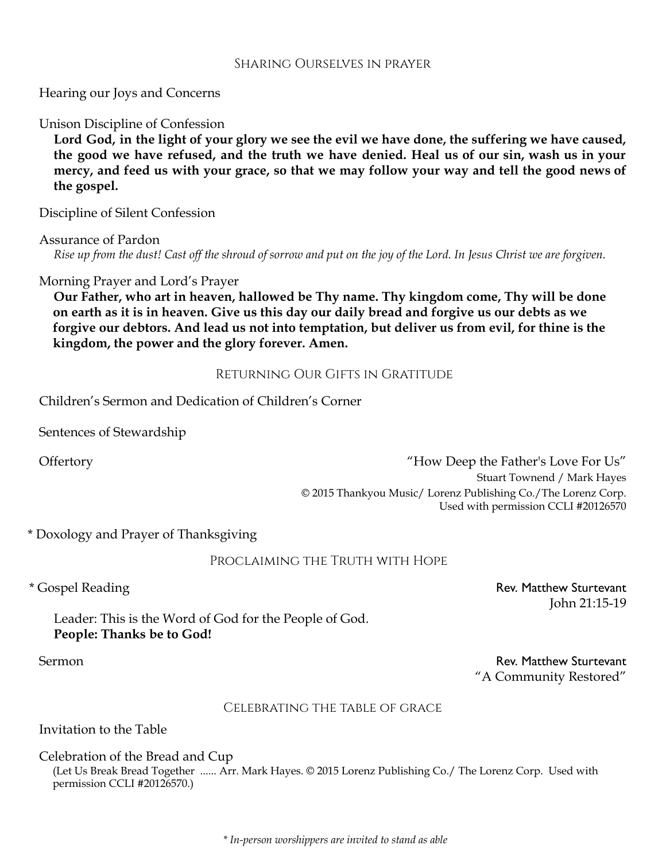#### Sharing Ourselves in prayer

Hearing our Joys and Concerns

Unison Discipline of Confession

Lord God, in the light of your glory we see the evil we have done, the suffering we have caused, the good we have refused, and the truth we have denied. Heal us of our sin, wash us in your mercy, and feed us with your grace, so that we may follow your way and tell the good news of **the gospel.**

Discipline of Silent Confession

Assurance of Pardon

Rise up from the dust! Cast off the shroud of sorrow and put on the joy of the Lord. In Jesus Christ we are forgiven.

Morning Prayer and Lord's Prayer

**Our Father, who art in heaven, hallowed be Thy name. Thy kingdom come, Thy will be done on earth as it is in heaven. Give us this day our daily bread and forgive us our debts as we forgive our debtors. And lead us not into temptation, but deliver us from evil, for thine is the kingdom, the power and the glory forever. Amen.**

Returning Our Gifts in Gratitude

Children's Sermon and Dedication of Children's Corner

Sentences of Stewardship

Offertory "How Deep the Father's Love For Us" Stuart Townend / Mark Hayes © 2015 Thankyou Music/ Lorenz Publishing Co./The Lorenz Corp. Used with permission CCLI #20126570

\* Doxology and Prayer of Thanksgiving

Proclaiming the Truth with Hope

\* Gospel Reading **Rev. Matthew Sturtevant** John 21:15-19

Leader: This is the Word of God for the People of God. **People: Thanks be to God!**

Sermon **Rev. Matthew Sturtevant** "A Community Restored"

## Celebrating the table of grace

Invitation to the Table

Celebration of the Bread and Cup

(Let Us Break Bread Together ...... Arr. Mark Hayes. © 2015 Lorenz Publishing Co./ The Lorenz Corp. Used with permission CCLI #20126570.)

*\* In-person worshippers are invited to stand as able*